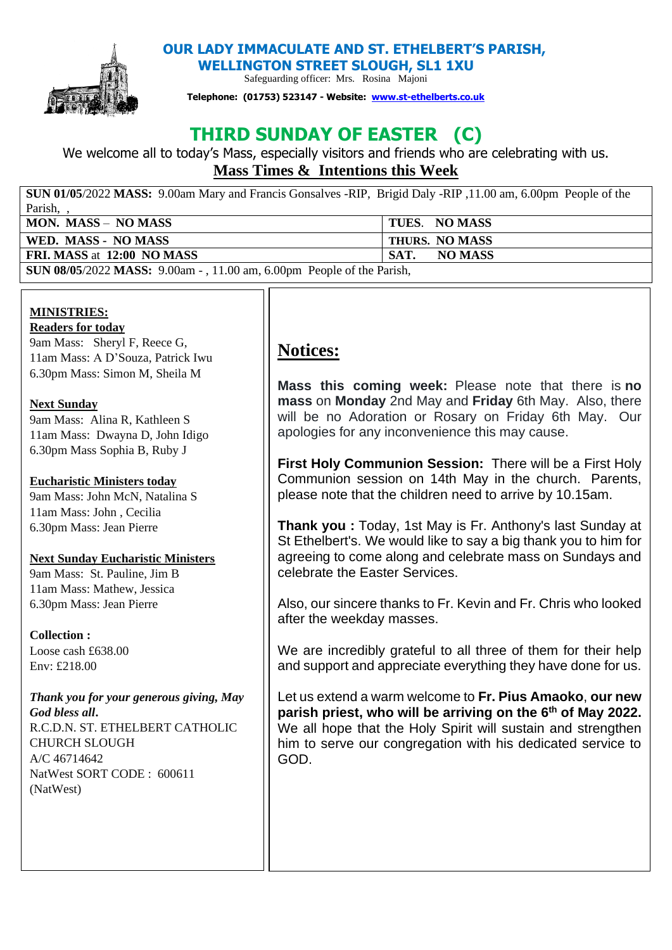

 **OUR LADY IMMACULATE AND ST. ETHELBERT'S PARISH, WELLINGTON STREET SLOUGH, SL1 1XU** 

Safeguarding officer: Mrs. Rosina Majoni

**Telephone: (01753) 523147 - Website: [www.st-ethelberts.co.uk](about:blank)**

# **THIRD SUNDAY OF EASTER (C)**

We welcome all to today's Mass, especially visitors and friends who are celebrating with us. **Mass Times & Intentions this Week** 

**SUN 01/05**/2022 **MASS:** 9.00am Mary and Francis Gonsalves -RIP, Brigid Daly -RIP ,11.00 am, 6.00pm People of the Parish, , **MON. MASS** – **NO MASS TUES**. **NO MASS WED. MASS - NO MASS THURS. NO MASS FRI. MASS** at **12:00 NO MASS SAT.** NO MASS

**SUN 08/05**/2022 **MASS:** 9.00am - , 11.00 am, 6.00pm People of the Parish,

#### **MINISTRIES: Readers for today**

9am Mass: Sheryl F, Reece G, 11am Mass: A D'Souza, Patrick Iwu 6.30pm Mass: Simon M, Sheila M

# **Next Sunday**

9am Mass: Alina R, Kathleen S 11am Mass: Dwayna D, John Idigo 6.30pm Mass Sophia B, Ruby J

# **Eucharistic Ministers today**

9am Mass: John McN, Natalina S 11am Mass: John , Cecilia 6.30pm Mass: Jean Pierre

# **Next Sunday Eucharistic Ministers**

9am Mass: St. Pauline, Jim B 11am Mass: Mathew, Jessica 6.30pm Mass: Jean Pierre

# **Collection :**

Loose cash £638.00 Env: £218.00

*Thank you for your generous giving, May God bless all***.**  R.C.D.N. ST. ETHELBERT CATHOLIC CHURCH SLOUGH A/C 46714642

NatWest SORT CODE : 600611 (NatWest)

# **Notices:**

**Mass this coming week:** Please note that there is **no mass** on **Monday** 2nd May and **Friday** 6th May. Also, there will be no Adoration or Rosary on Friday 6th May. Our apologies for any inconvenience this may cause.

**First Holy Communion Session:** There will be a First Holy Communion session on 14th May in the church. Parents, please note that the children need to arrive by 10.15am.

**Thank you :** Today, 1st May is Fr. Anthony's last Sunday at St Ethelbert's. We would like to say a big thank you to him for agreeing to come along and celebrate mass on Sundays and celebrate the Easter Services.

Also, our sincere thanks to Fr. Kevin and Fr. Chris who looked after the weekday masses.

We are incredibly grateful to all three of them for their help and support and appreciate everything they have done for us.

Let us extend a warm welcome to **Fr. Pius Amaoko**, **our new parish priest, who will be arriving on the 6th of May 2022.**  We all hope that the Holy Spirit will sustain and strengthen him to serve our congregation with his dedicated service to GOD.